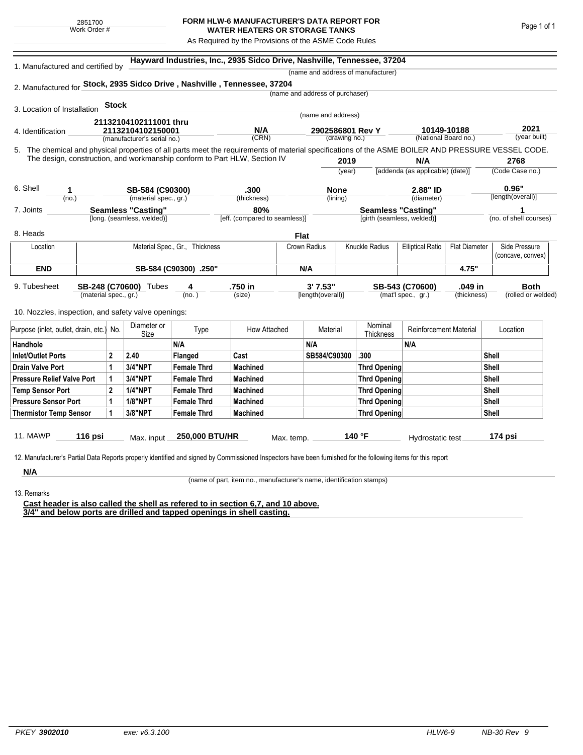## **FORM HLW-6 MANUFACTURER'S DATA REPORT FOR WATER HEATERS OR STORAGE TANKS**

As Required by the Provisions of the ASME Code Rules

| 1. Manufactured and certified by                                                                                                                   |                       |              | Hayward Industries, Inc., 2935 Sidco Drive, Nashville, Tennessee, 37204<br>(name and address of manufacturer) |                                |                               |                                 |                         |                            |                                     |                      |                        |  |  |
|----------------------------------------------------------------------------------------------------------------------------------------------------|-----------------------|--------------|---------------------------------------------------------------------------------------------------------------|--------------------------------|-------------------------------|---------------------------------|-------------------------|----------------------------|-------------------------------------|----------------------|------------------------|--|--|
| 2. Manufactured for Stock, 2935 Sidco Drive, Nashville, Tennessee, 37204                                                                           |                       |              |                                                                                                               |                                |                               |                                 |                         |                            |                                     |                      |                        |  |  |
|                                                                                                                                                    |                       |              |                                                                                                               |                                |                               | (name and address of purchaser) |                         |                            |                                     |                      |                        |  |  |
| 3. Location of Installation                                                                                                                        |                       | <b>Stock</b> |                                                                                                               |                                |                               |                                 |                         |                            |                                     |                      |                        |  |  |
|                                                                                                                                                    |                       |              |                                                                                                               |                                |                               |                                 | (name and address)      |                            |                                     |                      |                        |  |  |
| 4. Identification                                                                                                                                  |                       |              | 21132104102111001 thru<br>21132104102150001                                                                   |                                | N/A                           |                                 | 2902586801 Rev Y        |                            | 10149-10188<br>(National Board no.) |                      | 2021<br>(year built)   |  |  |
|                                                                                                                                                    |                       |              | (manufacturer's serial no.)                                                                                   |                                | (CRN)                         |                                 | (drawing no.)           |                            |                                     |                      |                        |  |  |
| 5. The chemical and physical properties of all parts meet the requirements of material specifications of the ASME BOILER AND PRESSURE VESSEL CODE. |                       |              |                                                                                                               |                                |                               |                                 |                         |                            |                                     |                      |                        |  |  |
| The design, construction, and workmanship conform to Part HLW, Section IV                                                                          |                       |              |                                                                                                               |                                |                               | 2019                            |                         | N/A                        |                                     | 2768                 |                        |  |  |
|                                                                                                                                                    |                       |              |                                                                                                               |                                |                               |                                 | (year)                  |                            | [addenda (as applicable) (date)]    |                      | (Code Case no.)        |  |  |
| 6. Shell                                                                                                                                           |                       |              |                                                                                                               |                                |                               |                                 |                         |                            |                                     |                      | 0.96"                  |  |  |
| 1<br>(no.)                                                                                                                                         |                       |              | SB-584 (C90300)<br>(material spec., gr.)                                                                      |                                | .300<br>(thickness)           |                                 | <b>None</b><br>(lining) |                            | 2.88" ID<br>(diameter)              |                      | [length(overall)]      |  |  |
| 7. Joints                                                                                                                                          |                       |              | <b>Seamless "Casting"</b>                                                                                     |                                | 80%                           |                                 |                         | <b>Seamless "Casting"</b>  |                                     |                      |                        |  |  |
|                                                                                                                                                    |                       |              | [long. (seamless, welded)]                                                                                    |                                | [eff. (compared to seamless)] |                                 |                         | [girth (seamless, welded)] |                                     |                      | (no. of shell courses) |  |  |
| 8. Heads                                                                                                                                           |                       |              |                                                                                                               |                                |                               |                                 |                         |                            |                                     |                      |                        |  |  |
| Location                                                                                                                                           |                       |              |                                                                                                               | Material Spec., Gr., Thickness |                               | <b>Flat</b><br>Crown Radius     |                         | Knuckle Radius             | <b>Elliptical Ratio</b>             | <b>Flat Diameter</b> | Side Pressure          |  |  |
|                                                                                                                                                    |                       |              |                                                                                                               |                                |                               |                                 |                         |                            |                                     |                      | (concave, convex)      |  |  |
| <b>END</b>                                                                                                                                         | SB-584 (C90300) .250" |              |                                                                                                               |                                |                               | N/A                             |                         |                            |                                     | 4.75"                |                        |  |  |
|                                                                                                                                                    |                       |              |                                                                                                               |                                |                               |                                 |                         |                            |                                     |                      |                        |  |  |
| 9. Tubesheet                                                                                                                                       |                       |              | SB-248 (C70600) Tubes                                                                                         | 4                              | .750 in                       |                                 | 3'7.53"                 |                            | SB-543 (C70600)                     | .049 in              | <b>Both</b>            |  |  |
|                                                                                                                                                    | (material spec., gr.) |              |                                                                                                               | (no. )                         | (size)                        |                                 | [length(overall)]       |                            | (mat'l spec., gr.)                  | (thickness)          | (rolled or welded)     |  |  |
| 10. Nozzles, inspection, and safety valve openings:                                                                                                |                       |              |                                                                                                               |                                |                               |                                 |                         |                            |                                     |                      |                        |  |  |
| Purpose (inlet, outlet, drain, etc.) No.                                                                                                           |                       |              | Diameter or<br>Size                                                                                           | Type                           | How Attached                  |                                 | Material                | Nominal<br>Thickness       | <b>Reinforcement Material</b>       |                      | Location               |  |  |
| Handhole                                                                                                                                           |                       |              |                                                                                                               | N/A                            |                               | N/A                             |                         |                            | N/A                                 |                      |                        |  |  |
| <b>Inlet/Outlet Ports</b>                                                                                                                          |                       | $\mathbf{2}$ | 2.40                                                                                                          | Flanged                        | Cast                          |                                 | SB584/C90300            | .300                       |                                     |                      | <b>Shell</b>           |  |  |
| <b>Drain Valve Port</b>                                                                                                                            |                       | 1            | <b>3/4"NPT</b>                                                                                                | Female Thrd                    | <b>Machined</b>               |                                 |                         | <b>Thrd Opening</b>        |                                     |                      | <b>Shell</b>           |  |  |
| <b>Pressure Relief Valve Port</b>                                                                                                                  |                       | 1            | 3/4"NPT                                                                                                       | <b>Female Thrd</b>             | <b>Machined</b>               |                                 |                         | Thrd Opening               |                                     |                      | <b>Shell</b>           |  |  |
| <b>Temp Sensor Port</b>                                                                                                                            |                       | $\mathbf{2}$ | <b>1/4"NPT</b>                                                                                                | <b>Female Thrd</b>             | <b>Machined</b>               |                                 |                         | <b>Thrd Opening</b>        |                                     |                      | Shell                  |  |  |
| <b>Pressure Sensor Port</b>                                                                                                                        |                       | 1            | <b>1/8"NPT</b>                                                                                                | <b>Female Thrd</b>             | <b>Machined</b>               |                                 |                         | Thrd Opening               |                                     |                      | Shell                  |  |  |
|                                                                                                                                                    |                       | 1            | 3/8"NPT                                                                                                       | <b>Female Thrd</b>             | <b>Machined</b>               |                                 |                         | <b>Thrd Opening</b>        |                                     |                      | Shell                  |  |  |
| <b>Thermistor Temp Sensor</b><br>11. MAWP                                                                                                          | 116 psi               |              | Max. input                                                                                                    | 250,000 BTU/HR                 |                               | Max. temp.                      |                         | 140 °F                     | Hydrostatic test                    |                      | 174 psi                |  |  |

**N/A** 13. Remarks

(name of part, item no., manufacturer's name, identification stamps)

**Cast header is also called the shell as refered to in section 6,7, and 10 above. 3/4" and below ports are drilled and tapped openings in shell casting.**